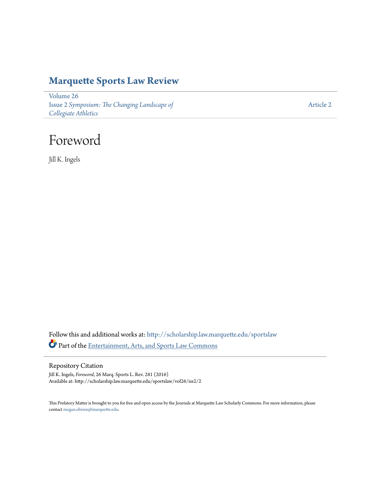# **[Marquette Sports Law Review](http://scholarship.law.marquette.edu/sportslaw?utm_source=scholarship.law.marquette.edu%2Fsportslaw%2Fvol26%2Fiss2%2F2&utm_medium=PDF&utm_campaign=PDFCoverPages)**

[Volume 26](http://scholarship.law.marquette.edu/sportslaw/vol26?utm_source=scholarship.law.marquette.edu%2Fsportslaw%2Fvol26%2Fiss2%2F2&utm_medium=PDF&utm_campaign=PDFCoverPages) Issue 2 *[Symposium: The Changing Landscape of](http://scholarship.law.marquette.edu/sportslaw/vol26/iss2?utm_source=scholarship.law.marquette.edu%2Fsportslaw%2Fvol26%2Fiss2%2F2&utm_medium=PDF&utm_campaign=PDFCoverPages) [Collegiate Athletics](http://scholarship.law.marquette.edu/sportslaw/vol26/iss2?utm_source=scholarship.law.marquette.edu%2Fsportslaw%2Fvol26%2Fiss2%2F2&utm_medium=PDF&utm_campaign=PDFCoverPages)*

[Article 2](http://scholarship.law.marquette.edu/sportslaw/vol26/iss2/2?utm_source=scholarship.law.marquette.edu%2Fsportslaw%2Fvol26%2Fiss2%2F2&utm_medium=PDF&utm_campaign=PDFCoverPages)

# Foreword

Jill K. Ingels

Follow this and additional works at: [http://scholarship.law.marquette.edu/sportslaw](http://scholarship.law.marquette.edu/sportslaw?utm_source=scholarship.law.marquette.edu%2Fsportslaw%2Fvol26%2Fiss2%2F2&utm_medium=PDF&utm_campaign=PDFCoverPages) Part of the [Entertainment, Arts, and Sports Law Commons](http://network.bepress.com/hgg/discipline/893?utm_source=scholarship.law.marquette.edu%2Fsportslaw%2Fvol26%2Fiss2%2F2&utm_medium=PDF&utm_campaign=PDFCoverPages)

#### Repository Citation

Jill K. Ingels, *Foreword*, 26 Marq. Sports L. Rev. 281 (2016) Available at: http://scholarship.law.marquette.edu/sportslaw/vol26/iss2/2

This Prefatory Matter is brought to you for free and open access by the Journals at Marquette Law Scholarly Commons. For more information, please contact [megan.obrien@marquette.edu.](mailto:megan.obrien@marquette.edu)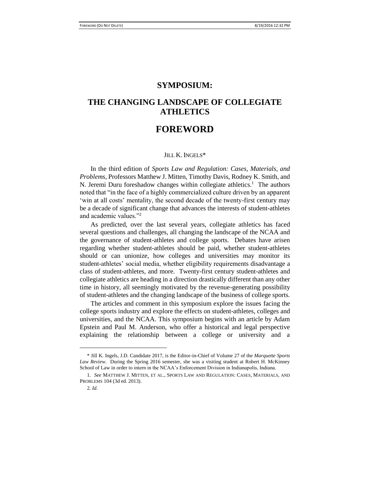#### **SYMPOSIUM:**

### **THE CHANGING LANDSCAPE OF COLLEGIATE ATHLETICS**

## **FOREWORD**

#### JILL K. INGELS\*

In the third edition of *Sports Law and Regulation: Cases, Materials, and Problems*, Professors Matthew J. Mitten, Timothy Davis, Rodney K. Smith, and N. Jeremi Duru foreshadow changes within collegiate athletics.<sup>1</sup> The authors noted that "in the face of a highly commercialized culture driven by an apparent 'win at all costs' mentality, the second decade of the twenty-first century may be a decade of significant change that advances the interests of student-athletes and academic values."<sup>2</sup>

As predicted, over the last several years, collegiate athletics has faced several questions and challenges, all changing the landscape of the NCAA and the governance of student-athletes and college sports. Debates have arisen regarding whether student-athletes should be paid, whether student-athletes should or can unionize, how colleges and universities may monitor its student-athletes' social media, whether eligibility requirements disadvantage a class of student-athletes, and more. Twenty-first century student-athletes and collegiate athletics are heading in a direction drastically different than any other time in history, all seemingly motivated by the revenue-generating possibility of student-athletes and the changing landscape of the business of college sports.

The articles and comment in this symposium explore the issues facing the college sports industry and explore the effects on student-athletes, colleges and universities, and the NCAA. This symposium begins with an article by Adam Epstein and Paul M. Anderson, who offer a historical and legal perspective explaining the relationship between a college or university and a

<sup>\*</sup> Jill K. Ingels, J.D. Candidate 2017, is the Editor-in-Chief of Volume 27 of the *Marquette Sports Law Review*. During the Spring 2016 semester, she was a visiting student at Robert H. McKinney School of Law in order to intern in the NCAA's Enforcement Division in Indianapolis, Indiana.

<sup>1.</sup> *See* MATTHEW J. MITTEN, ET AL., SPORTS LAW AND REGULATION: CASES, MATERIALS, AND PROBLEMS 104 (3d ed. 2013).

<sup>2.</sup> *Id.*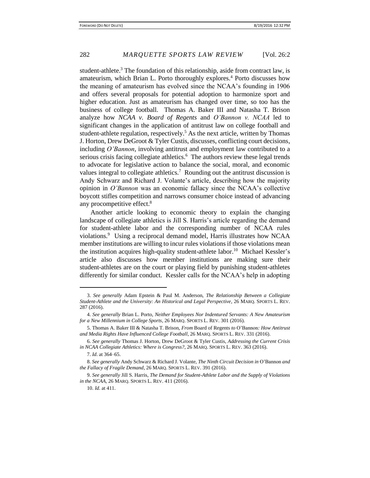student-athlete. $3$  The foundation of this relationship, aside from contract law, is amateurism, which Brian L. Porto thoroughly explores.<sup>4</sup> Porto discusses how the meaning of amateurism has evolved since the NCAA's founding in 1906 and offers several proposals for potential adoption to harmonize sport and higher education. Just as amateurism has changed over time, so too has the business of college football. Thomas A. Baker III and Natasha T. Brison analyze how *NCAA v. Board of Regents* and *O'Bannon v. NCAA* led to significant changes in the application of antitrust law on college football and student-athlete regulation, respectively.<sup>5</sup> As the next article, written by Thomas J. Horton, Drew DeGroot & Tyler Custis, discusses, conflicting court decisions, including *O'Bannon*, involving antitrust and employment law contributed to a serious crisis facing collegiate athletics.<sup>6</sup> The authors review these legal trends to advocate for legislative action to balance the social, moral, and economic values integral to collegiate athletics.<sup>7</sup> Rounding out the antitrust discussion is Andy Schwarz and Richard J. Volante's article, describing how the majority opinion in *O'Bannon* was an economic fallacy since the NCAA's collective boycott stifles competition and narrows consumer choice instead of advancing any procompetitive effect.<sup>8</sup>

Another article looking to economic theory to explain the changing landscape of collegiate athletics is Jill S. Harris's article regarding the demand for student-athlete labor and the corresponding number of NCAA rules violations.<sup>9</sup> Using a reciprocal demand model, Harris illustrates how NCAA member institutions are willing to incur rules violations if those violations mean the institution acquires high-quality student-athlete labor.<sup>10</sup> Michael Kessler's article also discusses how member institutions are making sure their student-athletes are on the court or playing field by punishing student-athletes differently for similar conduct. Kessler calls for the NCAA's help in adopting

<sup>3.</sup> *See generally* Adam Epstein & Paul M. Anderson, *The Relationship Between a Collegiate Student-Athlete and the University: An Historical and Legal Perspective*, 26 MARQ. SPORTS L. REV. 287 (2016).

<sup>4.</sup> *See generally* Brian L. Porto, *Neither Employees Nor Indentured Servants: A New Amateurism for a New Millennium in College Sports*, 26 MARQ. SPORTS L. REV. 301 (2016).

<sup>5.</sup> Thomas A. Baker III & Natasha T. Brison, *From* Board of Regents *to* O'Bannon*: How Antitrust and Media Rights Have Influenced College Football*, 26 MARQ. SPORTS L. REV. 331 (2016).

<sup>6.</sup> *See generally* Thomas J. Horton, Drew DeGroot & Tyler Custis, *Addressing the Current Crisis in NCAA Collegiate Athletics: Where is Congress?*, 26 MARQ. SPORTS L. REV. 363 (2016).

<sup>7.</sup> *Id*. at 364–65.

<sup>8.</sup> *See generally* Andy Schwarz & Richard J. Volante, *The Ninth Circuit Decision in* O'Bannon *and the Fallacy of Fragile Demand*, 26 MARQ. SPORTS L. REV. 391 (2016).

<sup>9.</sup> *See generally* Jill S. Harris, *The Demand for Student-Athlete Labor and the Supply of Violations in the NCAA*, 26 MARQ. SPORTS L. REV. 411 (2016).

<sup>10.</sup> *Id*. at 411.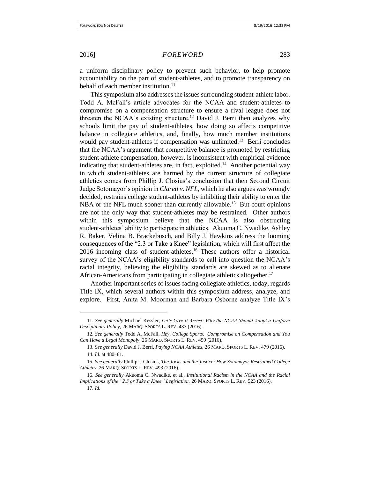a uniform disciplinary policy to prevent such behavior, to help promote accountability on the part of student-athletes, and to promote transparency on behalf of each member institution.<sup>11</sup>

Thissymposium also addressesthe issues surrounding student-athlete labor. Todd A. McFall's article advocates for the NCAA and student-athletes to compromise on a compensation structure to ensure a rival league does not threaten the NCAA's existing structure.<sup>12</sup> David J. Berri then analyzes why schools limit the pay of student-athletes, how doing so affects competitive balance in collegiate athletics, and, finally, how much member institutions would pay student-athletes if compensation was unlimited.<sup>13</sup> Berri concludes that the NCAA's argument that competitive balance is promoted by restricting student-athlete compensation, however, is inconsistent with empirical evidence indicating that student-athletes are, in fact, exploited.<sup>14</sup> Another potential way in which student-athletes are harmed by the current structure of collegiate athletics comes from Phillip J. Closius's conclusion that then Second Circuit Judge Sotomayor's opinion in *Clarett v. NFL*, which he also argues was wrongly decided, restrains college student-athletes by inhibiting their ability to enter the NBA or the NFL much sooner than currently allowable.<sup>15</sup> But court opinions are not the only way that student-athletes may be restrained. Other authors within this symposium believe that the NCAA is also obstructing student-athletes' ability to participate in athletics. Akuoma C. Nwadike, Ashley R. Baker, Velina B. Brackebusch, and Billy J. Hawkins address the looming consequences of the "2.3 or Take a Knee" legislation, which will first affect the 2016 incoming class of student-athletes.<sup>16</sup> These authors offer a historical survey of the NCAA's eligibility standards to call into question the NCAA's racial integrity, believing the eligibility standards are skewed as to alienate African-Americans from participating in collegiate athletics altogether.<sup>17</sup>

Another important series of issues facing collegiate athletics, today, regards Title IX, which several authors within this symposium address, analyze, and explore. First, Anita M. Moorman and Barbara Osborne analyze Title IX's

<sup>11.</sup> *See generally* Michael Kessler, *Let's Give It Arrest: Why the NCAA Should Adopt a Uniform Disciplinary Policy*, 26 MARQ. SPORTS L. REV. 433 (2016).

<sup>12.</sup> *See generally* Todd A. McFall, *Hey, College Sports. Compromise on Compensation and You Can Have a Legal Monopoly*, 26 MARQ. SPORTS L. REV. 459 (2016).

<sup>13.</sup> *See generally* David J. Berri, *Paying NCAA Athletes*, 26 MARQ. SPORTS L. REV. 479 (2016). 14. *Id*. at 480–81.

<sup>15.</sup> *See generally* Phillip J. Closius, *The Jocks and the Justice: How Sotomayor Restrained College Athletes*, 26 MARQ. SPORTS L. REV. 493 (2016).

<sup>16.</sup> *See generally* Akuoma C. Nwadike, et al., *Institutional Racism in the NCAA and the Racial Implications of the "2.3 or Take a Knee" Legislation,* 26 MARQ. SPORTS L. REV. 523 (2016).

<sup>17.</sup> *Id*.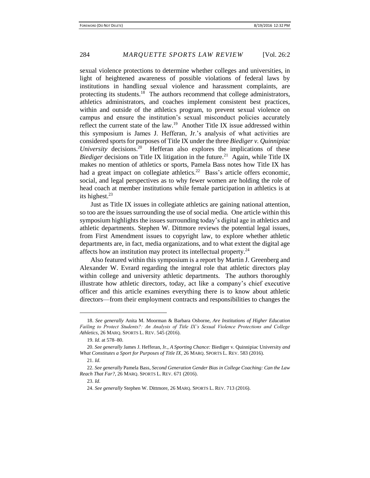sexual violence protections to determine whether colleges and universities, in light of heightened awareness of possible violations of federal laws by institutions in handling sexual violence and harassment complaints, are protecting its students.<sup>18</sup> The authors recommend that college administrators, athletics administrators, and coaches implement consistent best practices, within and outside of the athletics program, to prevent sexual violence on campus and ensure the institution's sexual misconduct policies accurately reflect the current state of the law.<sup>19</sup> Another Title IX issue addressed within this symposium is James J. Hefferan, Jr.'s analysis of what activities are considered sports for purposes of Title IX under the three *Biediger v. Quinnipiac*  University decisions.<sup>20</sup> Hefferan also explores the implications of these Biediger decisions on Title IX litigation in the future.<sup>21</sup> Again, while Title IX makes no mention of athletics or sports, Pamela Bass notes how Title IX has had a great impact on collegiate athletics.<sup>22</sup> Bass's article offers economic, social, and legal perspectives as to why fewer women are holding the role of head coach at member institutions while female participation in athletics is at its highest. $^{23}$ 

Just as Title IX issues in collegiate athletics are gaining national attention, so too are the issues surrounding the use of social media. One article within this symposium highlights the issues surrounding today's digital age in athletics and athletic departments. Stephen W. Dittmore reviews the potential legal issues, from First Amendment issues to copyright law, to explore whether athletic departments are, in fact, media organizations, and to what extent the digital age affects how an institution may protect its intellectual property.<sup>24</sup>

Also featured within this symposium is a report by Martin J. Greenberg and Alexander W. Evrard regarding the integral role that athletic directors play within college and university athletic departments. The authors thoroughly illustrate how athletic directors, today, act like a company's chief executive officer and this article examines everything there is to know about athletic directors—from their employment contracts and responsibilities to changes the

<sup>18.</sup> *See generally* Anita M. Moorman & Barbara Osborne, *Are Institutions of Higher Education Failing to Protect Students?: An Analysis of Title IX's Sexual Violence Protections and College Athletics*, 26 MARQ. SPORTS L. REV. 545 (2016).

<sup>19.</sup> *Id*. at 578–80.

<sup>20.</sup> *See generally* James J. Hefferan, Jr., *A Sporting Chance:* Biediger v. Quinnipiac University *and What Constitutes a Sport for Purposes of Title IX*, 26 MARQ. SPORTS L. REV. 583 (2016).

<sup>21.</sup> *Id*.

<sup>22.</sup> *See generally* Pamela Bass, *Second Generation Gender Bias in College Coaching: Can the Law Reach That Far?*, 26 MARQ. SPORTS L. REV. 671 (2016).

<sup>23.</sup> *Id*.

<sup>24.</sup> *See generally* Stephen W. Dittmore, 26 MARQ. SPORTS L. REV. 713 (2016).